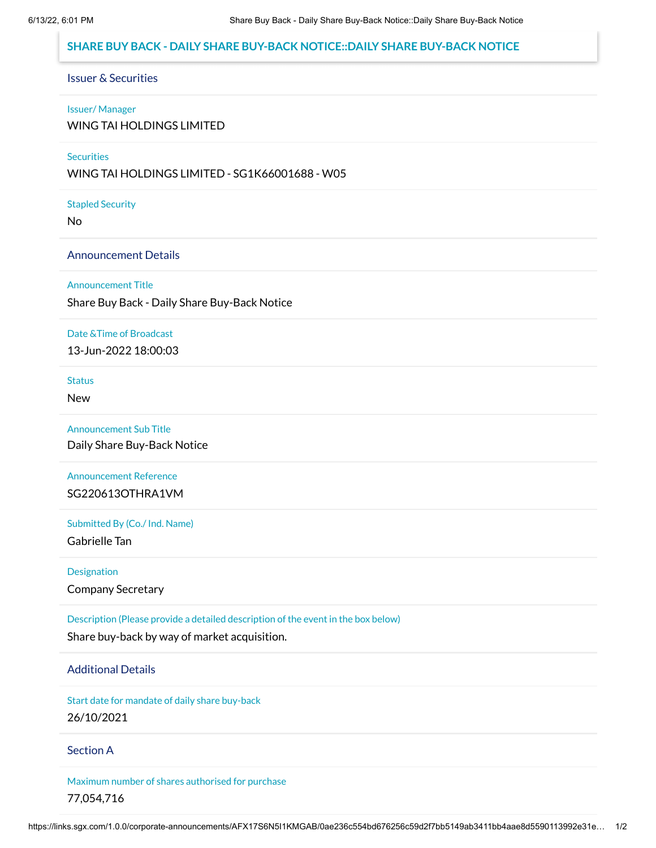# **SHARE BUY BACK - DAILY SHARE BUY-BACK NOTICE::DAILY SHARE BUY-BACK NOTICE**

# Issuer & Securities

#### Issuer/ Manager

WING TAI HOLDINGS LIMITED

## **Securities**

WING TAI HOLDINGS LIMITED - SG1K66001688 - W05

#### Stapled Security

No

## Announcement Details

#### Announcement Title

Share Buy Back - Daily Share Buy-Back Notice

#### Date &Time of Broadcast

13-Jun-2022 18:00:03

#### **Status**

New

### Announcement Sub Title

Daily Share Buy-Back Notice

# Announcement Reference SG220613OTHRA1VM

# Submitted By (Co./ Ind. Name)

Gabrielle Tan

## **Designation**

Company Secretary

# Description (Please provide a detailed description of the event in the box below)

Share buy-back by way of market acquisition.

# Additional Details

Start date for mandate of daily share buy-back 26/10/2021

### Section A

Maximum number of shares authorised for purchase 77,054,716